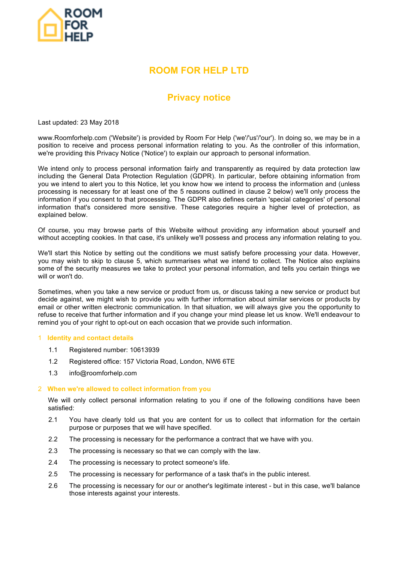

# **ROOM FOR HELP LTD**

# **Privacy notice**

Last updated: 23 May 2018

www.Roomforhelp.com ('Website') is provided by Room For Help ('we'/'us'/'our'). In doing so, we may be in a position to receive and process personal information relating to you. As the controller of this information, we're providing this Privacy Notice ('Notice') to explain our approach to personal information.

We intend only to process personal information fairly and transparently as required by data protection law including the General Data Protection Regulation (GDPR). In particular, before obtaining information from you we intend to alert you to this Notice, let you know how we intend to process the information and (unless processing is necessary for at least one of the 5 reasons outlined in clause 2 below) we'll only process the information if you consent to that processing. The GDPR also defines certain 'special categories' of personal information that's considered more sensitive. These categories require a higher level of protection, as explained below.

Of course, you may browse parts of this Website without providing any information about yourself and without accepting cookies. In that case, it's unlikely we'll possess and process any information relating to you.

We'll start this Notice by setting out the conditions we must satisfy before processing your data. However, you may wish to skip to clause 5, which summarises what we intend to collect. The Notice also explains some of the security measures we take to protect your personal information, and tells you certain things we will or won't do.

Sometimes, when you take a new service or product from us, or discuss taking a new service or product but decide against, we might wish to provide you with further information about similar services or products by email or other written electronic communication. In that situation, we will always give you the opportunity to refuse to receive that further information and if you change your mind please let us know. We'll endeavour to remind you of your right to opt-out on each occasion that we provide such information.

#### 1 **Identity and contact details**

- 1.1 Registered number: 10613939
- 1.2 Registered office: 157 Victoria Road, London, NW6 6TE
- 1.3 info@roomforhelp.com

#### 2 **When we're allowed to collect information from you**

We will only collect personal information relating to you if one of the following conditions have been satisfied:

- 2.1 You have clearly told us that you are content for us to collect that information for the certain purpose or purposes that we will have specified.
- 2.2 The processing is necessary for the performance a contract that we have with you.
- 2.3 The processing is necessary so that we can comply with the law.
- 2.4 The processing is necessary to protect someone's life.
- 2.5 The processing is necessary for performance of a task that's in the public interest.
- 2.6 The processing is necessary for our or another's legitimate interest but in this case, we'll balance those interests against your interests.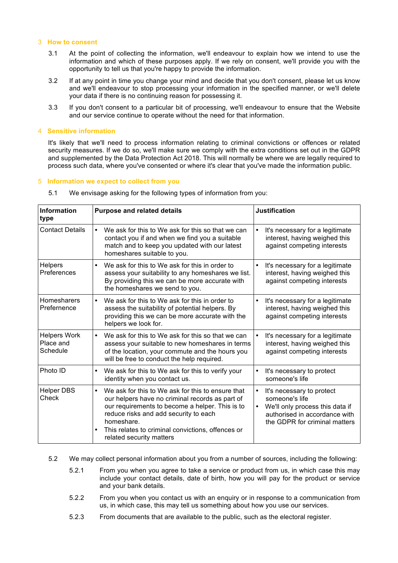#### 3 **How to consent**

- 3.1 At the point of collecting the information, we'll endeavour to explain how we intend to use the information and which of these purposes apply. If we rely on consent, we'll provide you with the opportunity to tell us that you're happy to provide the information.
- 3.2 If at any point in time you change your mind and decide that you don't consent, please let us know and we'll endeavour to stop processing your information in the specified manner, or we'll delete your data if there is no continuing reason for possessing it.
- 3.3 If you don't consent to a particular bit of processing, we'll endeavour to ensure that the Website and our service continue to operate without the need for that information.

## 4 **Sensitive information**

It's likely that we'll need to process information relating to criminal convictions or offences or related security measures. If we do so, we'll make sure we comply with the extra conditions set out in the GDPR and supplemented by the Data Protection Act 2018. This will normally be where we are legally required to process such data, where you've consented or where it's clear that you've made the information public.

#### 5 **Information we expect to collect from you**

| Information<br>type                          | <b>Purpose and related details</b>                                                                                                                                                                                                                                                                                        | <b>Justification</b>                                                                                                                                          |
|----------------------------------------------|---------------------------------------------------------------------------------------------------------------------------------------------------------------------------------------------------------------------------------------------------------------------------------------------------------------------------|---------------------------------------------------------------------------------------------------------------------------------------------------------------|
| <b>Contact Details</b>                       | We ask for this to We ask for this so that we can<br>$\bullet$<br>contact you if and when we find you a suitable<br>match and to keep you updated with our latest<br>homeshares suitable to you.                                                                                                                          | It's necessary for a legitimate<br>$\bullet$<br>interest, having weighed this<br>against competing interests                                                  |
| <b>Helpers</b><br>Preferences                | We ask for this to We ask for this in order to<br>$\bullet$<br>assess your suitability to any homeshares we list.<br>By providing this we can be more accurate with<br>the homeshares we send to you.                                                                                                                     | It's necessary for a legitimate<br>interest, having weighed this<br>against competing interests                                                               |
| <b>Homesharers</b><br>Prefernence            | We ask for this to We ask for this in order to<br>$\bullet$<br>assess the suitability of potential helpers. By<br>providing this we can be more accurate with the<br>helpers we look for.                                                                                                                                 | It's necessary for a legitimate<br>$\bullet$<br>interest, having weighed this<br>against competing interests                                                  |
| <b>Helpers Work</b><br>Place and<br>Schedule | We ask for this to We ask for this so that we can<br>$\bullet$<br>assess your suitable to new homeshares in terms<br>of the location, your commute and the hours you<br>will be free to conduct the help required.                                                                                                        | It's necessary for a legitimate<br>interest, having weighed this<br>against competing interests                                                               |
| Photo ID                                     | We ask for this to We ask for this to verify your<br>$\bullet$<br>identity when you contact us.                                                                                                                                                                                                                           | It's necessary to protect<br>someone's life                                                                                                                   |
| <b>Helper DBS</b><br>Check                   | We ask for this to We ask for this to ensure that<br>$\bullet$<br>our helpers have no criminal records as part of<br>our requirements to become a helper. This is to<br>reduce risks and add security to each<br>homeshare.<br>This relates to criminal convictions, offences or<br>$\bullet$<br>related security matters | It's necessary to protect<br>$\bullet$<br>someone's life<br>We'll only process this data if<br>authorised in accordance with<br>the GDPR for criminal matters |

5.1 We envisage asking for the following types of information from you:

- 5.2 We may collect personal information about you from a number of sources, including the following:
	- 5.2.1 From you when you agree to take a service or product from us, in which case this may include your contact details, date of birth, how you will pay for the product or service and your bank details.
	- 5.2.2 From you when you contact us with an enquiry or in response to a communication from us, in which case, this may tell us something about how you use our services.
	- 5.2.3 From documents that are available to the public, such as the electoral register.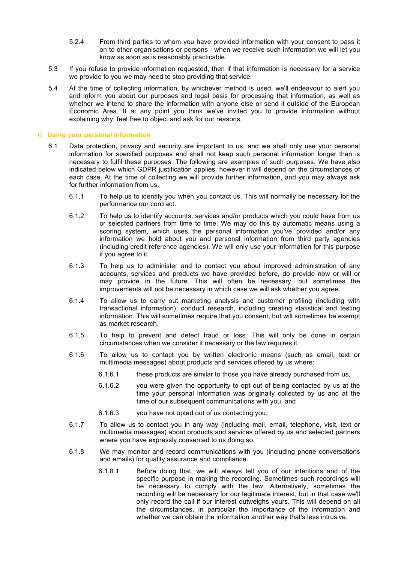- 5.2.4 From third parties to whom you have provided information with your consent to pass it on to other organisations or persons - when we receive such information we will let you know as soon as is reasonably practicable.
- 5.3 If you refuse to provide information requested, then if that information is necessary for a service we provide to you we may need to stop providing that service.
- 5.4 At the time of collecting information, by whichever method is used, we'll endeavour to alert you and inform you about our purposes and legal basis for processing that information, as well as whether we intend to share the information with anyone else or send it outside of the European Economic Area. If at any point you think we've invited you to provide information without explaining why, feel free to object and ask for our reasons.

#### 6 **Using your personal information**

- 6.1 Data protection, privacy and security are important to us, and we shall only use your personal information for specified purposes and shall not keep such personal information longer than is necessary to fulfil these purposes. The following are examples of such purposes. We have also indicated below which GDPR justification applies, however it will depend on the circumstances of each case. At the time of collecting we will provide further information, and you may always ask for further information from us.
	- 6.1.1 To help us to identify you when you contact us. This will normally be necessary for the performance our contract.
	- 6.1.2 To help us to identify accounts, services and/or products which you could have from us or selected partners from time to time. We may do this by automatic means using a scoring system, which uses the personal information you've provided and/or any information we hold about you and personal information from third party agencies (including credit reference agencies). We will only use your information for this purpose if you agree to it.
	- 6.1.3 To help us to administer and to contact you about improved administration of any accounts, services and products we have provided before, do provide now or will or may provide in the future. This will often be necessary, but sometimes the improvements will not be necessary in which case we will ask whether you agree.
	- 6.1.4 To allow us to carry out marketing analysis and customer profiling (including with transactional information), conduct research, including creating statistical and testing information. This will sometimes require that you consent, but will sometimes be exempt as market research.
	- 6.1.5 To help to prevent and detect fraud or loss. This will only be done in certain circumstances when we consider it necessary or the law requires it.
	- 6.1.6 To allow us to contact you by written electronic means (such as email, text or multimedia messages) about products and services offered by us where:
		- 6.1.6.1 these products are similar to those you have already purchased from us,
		- 6.1.6.2 you were given the opportunity to opt out of being contacted by us at the time your personal information was originally collected by us and at the time of our subsequent communications with you, and
		- 6.1.6.3 you have not opted out of us contacting you.
	- 6.1.7 To allow us to contact you in any way (including mail, email, telephone, visit, text or multimedia messages) about products and services offered by us and selected partners where you have expressly consented to us doing so.
	- 6.1.8 We may monitor and record communications with you (including phone conversations and emails) for quality assurance and compliance.
		- 6.1.8.1 Before doing that, we will always tell you of our intentions and of the specific purpose in making the recording. Sometimes such recordings will be necessary to comply with the law. Alternatively, sometimes the recording will be necessary for our legitimate interest, but in that case we'll only record the call if our interest outweighs yours. This will depend on all the circumstances, in particular the importance of the information and whether we can obtain the information another way that's less intrusive.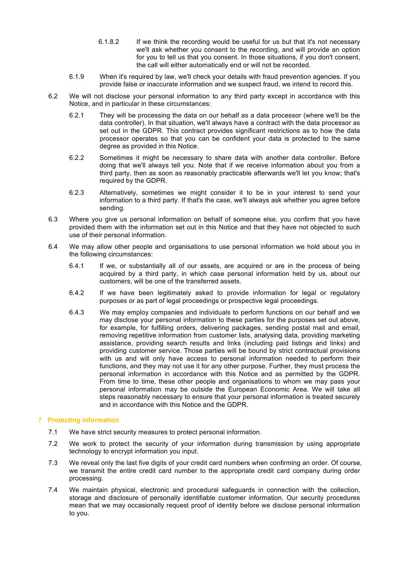- 6.1.8.2 If we think the recording would be useful for us but that it's not necessary we'll ask whether you consent to the recording, and will provide an option for you to tell us that you consent. In those situations, if you don't consent, the call will either automatically end or will not be recorded.
- 6.1.9 When it's required by law, we'll check your details with fraud prevention agencies. If you provide false or inaccurate information and we suspect fraud, we intend to record this.
- 6.2 We will not disclose your personal information to any third party except in accordance with this Notice, and in particular in these circumstances:
	- 6.2.1 They will be processing the data on our behalf as a data processor (where we'll be the data controller). In that situation, we'll always have a contract with the data processor as set out in the GDPR. This contract provides significant restrictions as to how the data processor operates so that you can be confident your data is protected to the same degree as provided in this Notice.
	- 6.2.2 Sometimes it might be necessary to share data with another data controller. Before doing that we'll always tell you. Note that if we receive information about you from a third party, then as soon as reasonably practicable afterwards we'll let you know; that's required by the GDPR.
	- 6.2.3 Alternatively, sometimes we might consider it to be in your interest to send your information to a third party. If that's the case, we'll always ask whether you agree before sending.
- 6.3 Where you give us personal information on behalf of someone else, you confirm that you have provided them with the information set out in this Notice and that they have not objected to such use of their personal information.
- 6.4 We may allow other people and organisations to use personal information we hold about you in the following circumstances:
	- 6.4.1 If we, or substantially all of our assets, are acquired or are in the process of being acquired by a third party, in which case personal information held by us, about our customers, will be one of the transferred assets.
	- 6.4.2 If we have been legitimately asked to provide information for legal or regulatory purposes or as part of legal proceedings or prospective legal proceedings.
	- 6.4.3 We may employ companies and individuals to perform functions on our behalf and we may disclose your personal information to these parties for the purposes set out above, for example, for fulfilling orders, delivering packages, sending postal mail and email, removing repetitive information from customer lists, analysing data, providing marketing assistance, providing search results and links (including paid listings and links) and providing customer service. Those parties will be bound by strict contractual provisions with us and will only have access to personal information needed to perform their functions, and they may not use it for any other purpose. Further, they must process the personal information in accordance with this Notice and as permitted by the GDPR. From time to time, these other people and organisations to whom we may pass your personal information may be outside the European Economic Area. We will take all steps reasonably necessary to ensure that your personal information is treated securely and in accordance with this Notice and the GDPR.

# 7 **Protecting information**

- 7.1 We have strict security measures to protect personal information.
- 7.2 We work to protect the security of your information during transmission by using appropriate technology to encrypt information you input.
- 7.3 We reveal only the last five digits of your credit card numbers when confirming an order. Of course, we transmit the entire credit card number to the appropriate credit card company during order processing.
- 7.4 We maintain physical, electronic and procedural safeguards in connection with the collection, storage and disclosure of personally identifiable customer information. Our security procedures mean that we may occasionally request proof of identity before we disclose personal information to you.